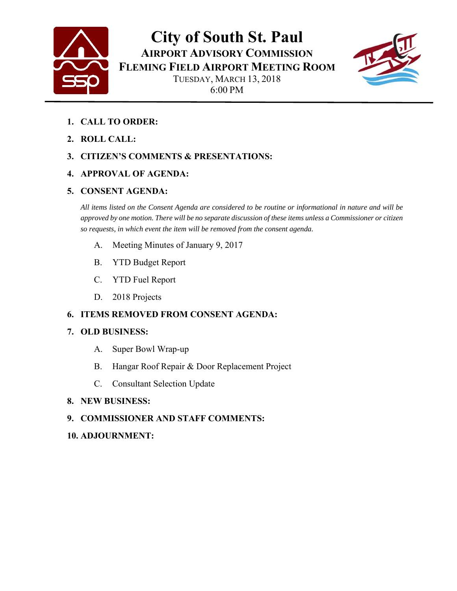

**City of South St. Paul AIRPORT ADVISORY COMMISSION FLEMING FIELD AIRPORT MEETING ROOM** TUESDAY, MARCH 13, 2018 6:00 PM



- **1. CALL TO ORDER:**
- **2. ROLL CALL:**

#### **3. CITIZEN'S COMMENTS & PRESENTATIONS:**

#### **4. APPROVAL OF AGENDA:**

#### **5. CONSENT AGENDA:**

*All items listed on the Consent Agenda are considered to be routine or informational in nature and will be approved by one motion. There will be no separate discussion of these items unless a Commissioner or citizen so requests, in which event the item will be removed from the consent agenda.* 

- A. Meeting Minutes of January 9, 2017
- B. YTD Budget Report
- C. YTD Fuel Report
- D. 2018 Projects

### **6. ITEMS REMOVED FROM CONSENT AGENDA:**

#### **7. OLD BUSINESS:**

- A. Super Bowl Wrap-up
- B. Hangar Roof Repair & Door Replacement Project
- C. Consultant Selection Update

#### **8. NEW BUSINESS:**

#### **9. COMMISSIONER AND STAFF COMMENTS:**

#### **10. ADJOURNMENT:**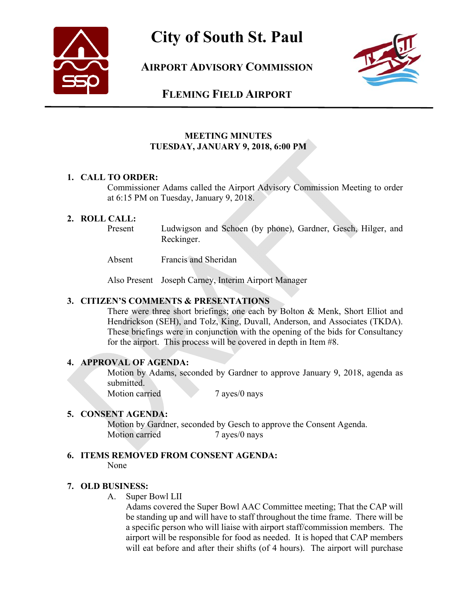

### **City of South St. Paul**

**AIRPORT ADVISORY COMMISSION**



### **FLEMING FIELD AIRPORT**

#### **MEETING MINUTES TUESDAY, JANUARY 9, 2018, 6:00 PM**

#### **1. CALL TO ORDER:**

Commissioner Adams called the Airport Advisory Commission Meeting to order at 6:15 PM on Tuesday, January 9, 2018.

#### **2. ROLL CALL:**

Present Ludwigson and Schoen (by phone), Gardner, Gesch, Hilger, and Reckinger.

Absent Francis and Sheridan

Also Present Joseph Carney, Interim Airport Manager

#### **3. CITIZEN'S COMMENTS & PRESENTATIONS**

There were three short briefings; one each by Bolton & Menk, Short Elliot and Hendrickson (SEH), and Tolz, King, Duvall, Anderson, and Associates (TKDA). These briefings were in conjunction with the opening of the bids for Consultancy for the airport. This process will be covered in depth in Item #8.

#### **4. APPROVAL OF AGENDA:**

Motion by Adams, seconded by Gardner to approve January 9, 2018, agenda as submitted.

Motion carried 7 ayes/0 nays

#### **5. CONSENT AGENDA:**

Motion by Gardner, seconded by Gesch to approve the Consent Agenda. Motion carried 7 ayes/0 nays

#### **6. ITEMS REMOVED FROM CONSENT AGENDA:**

None

#### **7. OLD BUSINESS:**

A. Super Bowl LII

Adams covered the Super Bowl AAC Committee meeting; That the CAP will be standing up and will have to staff throughout the time frame. There will be a specific person who will liaise with airport staff/commission members. The airport will be responsible for food as needed. It is hoped that CAP members will eat before and after their shifts (of 4 hours). The airport will purchase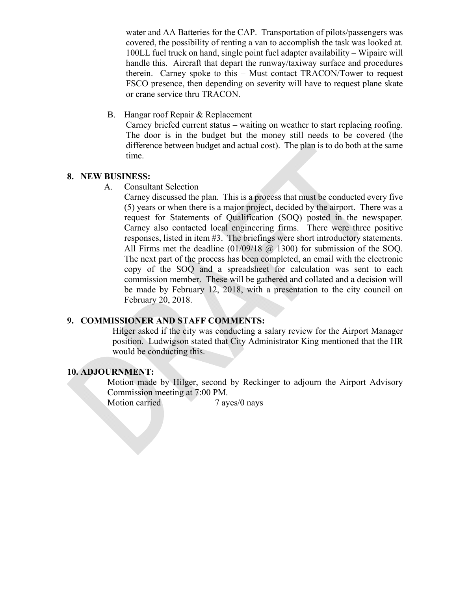water and AA Batteries for the CAP. Transportation of pilots/passengers was covered, the possibility of renting a van to accomplish the task was looked at. 100LL fuel truck on hand, single point fuel adapter availability – Wipaire will handle this. Aircraft that depart the runway/taxiway surface and procedures therein. Carney spoke to this – Must contact TRACON/Tower to request FSCO presence, then depending on severity will have to request plane skate or crane service thru TRACON.

B. Hangar roof Repair & Replacement

Carney briefed current status – waiting on weather to start replacing roofing. The door is in the budget but the money still needs to be covered (the difference between budget and actual cost). The plan is to do both at the same time.

#### **8. NEW BUSINESS:**

A. Consultant Selection

Carney discussed the plan. This is a process that must be conducted every five (5) years or when there is a major project, decided by the airport. There was a request for Statements of Qualification (SOQ) posted in the newspaper. Carney also contacted local engineering firms. There were three positive responses, listed in item #3. The briefings were short introductory statements. All Firms met the deadline (01/09/18 @ 1300) for submission of the SOQ. The next part of the process has been completed, an email with the electronic copy of the SOQ and a spreadsheet for calculation was sent to each commission member. These will be gathered and collated and a decision will be made by February 12, 2018, with a presentation to the city council on February 20, 2018.

#### **9. COMMISSIONER AND STAFF COMMENTS:**

Hilger asked if the city was conducting a salary review for the Airport Manager position. Ludwigson stated that City Administrator King mentioned that the HR would be conducting this.

#### **10. ADJOURNMENT:**

Motion made by Hilger, second by Reckinger to adjourn the Airport Advisory Commission meeting at 7:00 PM.

Motion carried 7 ayes/0 nays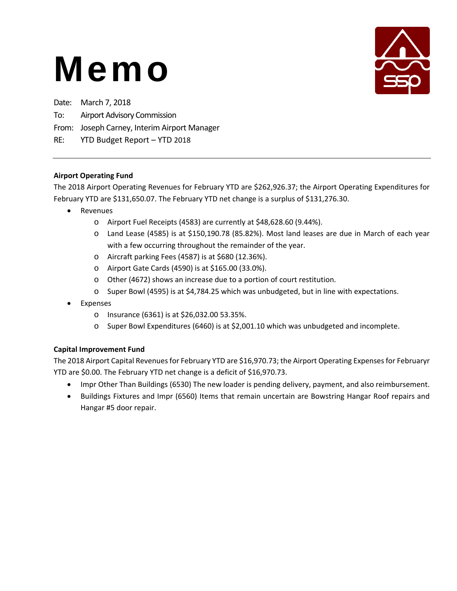

Date: March 7, 2018 To: Airport Advisory Commission

#### From: Joseph Carney, Interim Airport Manager

RE: YTD Budget Report – YTD 2018

#### **Airport Operating Fund**

The 2018 Airport Operating Revenues for February YTD are \$262,926.37; the Airport Operating Expenditures for February YTD are \$131,650.07. The February YTD net change is a surplus of \$131,276.30.

- Revenues
	- o Airport Fuel Receipts (4583) are currently at \$48,628.60 (9.44%).
	- o Land Lease (4585) is at \$150,190.78 (85.82%). Most land leases are due in March of each year with a few occurring throughout the remainder of the year.
	- o Aircraft parking Fees (4587) is at \$680 (12.36%).
	- o Airport Gate Cards (4590) is at \$165.00 (33.0%).
	- o Other (4672) shows an increase due to a portion of court restitution.
	- o Super Bowl (4595) is at \$4,784.25 which was unbudgeted, but in line with expectations.
- Expenses
	- o Insurance (6361) is at \$26,032.00 53.35%.
	- o Super Bowl Expenditures (6460) is at \$2,001.10 which was unbudgeted and incomplete.

### **Capital Improvement Fund**

The 2018 Airport Capital Revenues for February YTD are \$16,970.73; the Airport Operating Expenses for Februaryr YTD are \$0.00. The February YTD net change is a deficit of \$16,970.73.

- Impr Other Than Buildings (6530) The new loader is pending delivery, payment, and also reimbursement.
- Buildings Fixtures and Impr (6560) Items that remain uncertain are Bowstring Hangar Roof repairs and Hangar #5 door repair.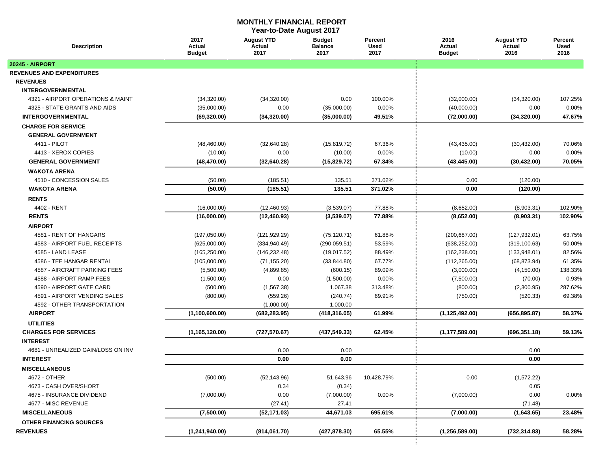#### **MONTHLY FINANCIAL REPORT**

**Year-to-Date August 2017**

| <b>Description</b>                 | 2017<br>Actual<br><b>Budget</b> | <b>August YTD</b><br>Actual<br>2017 | <b>Budget</b><br><b>Balance</b><br>2017 | Percent<br><b>Used</b><br>2017 | 2016<br>Actual<br><b>Budget</b> | <b>August YTD</b><br>Actual<br>2016 | Percent<br><b>Used</b><br>2016 |
|------------------------------------|---------------------------------|-------------------------------------|-----------------------------------------|--------------------------------|---------------------------------|-------------------------------------|--------------------------------|
| <b>20245 - AIRPORT</b>             |                                 |                                     |                                         |                                |                                 |                                     |                                |
| <b>REVENUES AND EXPENDITURES</b>   |                                 |                                     |                                         |                                |                                 |                                     |                                |
| <b>REVENUES</b>                    |                                 |                                     |                                         |                                |                                 |                                     |                                |
| <b>INTERGOVERNMENTAL</b>           |                                 |                                     |                                         |                                |                                 |                                     |                                |
| 4321 - AIRPORT OPERATIONS & MAINT  | (34,320.00)                     | (34,320.00)                         | 0.00                                    | 100.00%                        | (32,000.00)                     | (34, 320.00)                        | 107.25%                        |
| 4325 - STATE GRANTS AND AIDS       | (35,000.00)                     | 0.00                                | (35,000.00)                             | 0.00%                          | (40,000.00)                     | 0.00                                | 0.00%                          |
| <b>INTERGOVERNMENTAL</b>           | (69, 320.00)                    | (34, 320.00)                        | (35,000.00)                             | 49.51%                         | (72,000.00)                     | (34, 320.00)                        | 47.67%                         |
| <b>CHARGE FOR SERVICE</b>          |                                 |                                     |                                         |                                |                                 |                                     |                                |
| <b>GENERAL GOVERNMENT</b>          |                                 |                                     |                                         |                                |                                 |                                     |                                |
| 4411 - PILOT                       | (48, 460.00)                    | (32,640.28)                         | (15, 819.72)                            | 67.36%                         | (43, 435.00)                    | (30, 432.00)                        | 70.06%                         |
| 4413 - XEROX COPIES                | (10.00)                         | 0.00                                | (10.00)                                 | 0.00%                          | (10.00)                         | 0.00                                | 0.00%                          |
| <b>GENERAL GOVERNMENT</b>          | (48, 470.00)                    | (32,640.28)                         | (15,829.72)                             | 67.34%                         | (43, 445.00)                    | (30, 432.00)                        | 70.05%                         |
| <b>WAKOTA ARENA</b>                |                                 |                                     |                                         |                                |                                 |                                     |                                |
| 4510 - CONCESSION SALES            | (50.00)                         | (185.51)                            | 135.51                                  | 371.02%                        | 0.00                            | (120.00)                            |                                |
| <b>WAKOTA ARENA</b>                | (50.00)                         | (185.51)                            | 135.51                                  | 371.02%                        | 0.00                            | (120.00)                            |                                |
| <b>RENTS</b>                       |                                 |                                     |                                         |                                |                                 |                                     |                                |
| 4402 - RENT                        | (16,000.00)                     | (12, 460.93)                        | (3,539.07)                              | 77.88%                         | (8,652.00)                      | (8,903.31)                          | 102.90%                        |
| <b>RENTS</b>                       | (16,000.00)                     | (12, 460.93)                        | (3,539.07)                              | 77.88%                         | (8,652.00)                      | (8,903.31)                          | 102.90%                        |
| <b>AIRPORT</b>                     |                                 |                                     |                                         |                                |                                 |                                     |                                |
| 4581 - RENT OF HANGARS             | (197,050.00)                    | (121, 929.29)                       | (75, 120.71)                            | 61.88%                         | (200, 687.00)                   | (127, 932.01)                       | 63.75%                         |
| 4583 - AIRPORT FUEL RECEIPTS       | (625,000.00)                    | (334, 940.49)                       | (290, 059.51)                           | 53.59%                         | (638, 252.00)                   | (319, 100.63)                       | 50.00%                         |
| 4585 - LAND LEASE                  | (165, 250.00)                   | (146, 232.48)                       | (19,017.52)                             | 88.49%                         | (162, 238.00)                   | (133, 948.01)                       | 82.56%                         |
| 4586 - TEE HANGAR RENTAL           | (105,000.00)                    | (71, 155.20)                        | (33, 844.80)                            | 67.77%                         | (112, 265.00)                   | (68, 873.94)                        | 61.35%                         |
| 4587 - AIRCRAFT PARKING FEES       | (5,500.00)                      | (4,899.85)                          | (600.15)                                | 89.09%                         | (3,000.00)                      | (4, 150.00)                         | 138.33%                        |
| 4588 - AIRPORT RAMP FEES           | (1,500.00)                      | 0.00                                | (1,500.00)                              | 0.00%                          | (7,500.00)                      | (70.00)                             | 0.93%                          |
| 4590 - AIRPORT GATE CARD           | (500.00)                        | (1,567.38)                          | 1,067.38                                | 313.48%                        | (800.00)                        | (2,300.95)                          | 287.62%                        |
| 4591 - AIRPORT VENDING SALES       | (800.00)                        | (559.26)                            | (240.74)                                | 69.91%                         | (750.00)                        | (520.33)                            | 69.38%                         |
| 4592 - OTHER TRANSPORTATION        |                                 | (1,000.00)                          | 1,000.00                                |                                |                                 |                                     |                                |
| <b>AIRPORT</b>                     | (1,100,600.00)                  | (682, 283.95)                       | (418, 316.05)                           | 61.99%                         | (1, 125, 492.00)                | (656, 895.87)                       | 58.37%                         |
| <b>UTILITIES</b>                   |                                 |                                     |                                         |                                |                                 |                                     |                                |
| <b>CHARGES FOR SERVICES</b>        | (1, 165, 120.00)                | (727, 570.67)                       | (437, 549.33)                           | 62.45%                         | (1, 177, 589.00)                | (696, 351.18)                       | 59.13%                         |
| <b>INTEREST</b>                    |                                 |                                     |                                         |                                |                                 |                                     |                                |
| 4681 - UNREALIZED GAIN/LOSS ON INV |                                 | 0.00                                | 0.00                                    |                                |                                 | 0.00                                |                                |
| <b>INTEREST</b>                    |                                 | 0.00                                | 0.00                                    |                                |                                 | 0.00                                |                                |
| <b>MISCELLANEOUS</b>               |                                 |                                     |                                         |                                |                                 |                                     |                                |
| 4672 - OTHER                       | (500.00)                        | (52, 143.96)                        | 51,643.96                               | 10,428.79%                     | 0.00                            | (1,572.22)                          |                                |
| 4673 - CASH OVER/SHORT             |                                 | 0.34                                | (0.34)                                  |                                |                                 | 0.05                                |                                |
| 4675 - INSURANCE DIVIDEND          | (7,000.00)                      | 0.00                                | (7,000.00)                              | 0.00%                          | (7,000.00)                      | 0.00                                | 0.00%                          |
| 4677 - MISC REVENUE                |                                 | (27.41)                             | 27.41                                   |                                |                                 | (71.48)                             |                                |
| <b>MISCELLANEOUS</b>               | (7,500.00)                      | (52, 171.03)                        | 44,671.03                               | 695.61%                        | (7,000.00)                      | (1,643.65)                          | 23.48%                         |
| <b>OTHER FINANCING SOURCES</b>     |                                 |                                     |                                         |                                |                                 |                                     |                                |
| <b>REVENUES</b>                    | (1,241,940.00)                  | (814,061.70)                        | (427, 878.30)                           | 65.55%                         | (1, 256, 589.00)                | (732, 314.83)                       | 58.28%                         |
|                                    |                                 |                                     |                                         |                                |                                 |                                     |                                |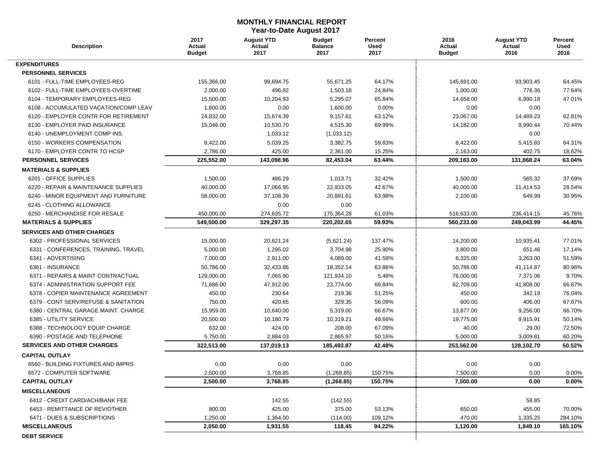#### **MONTHLY FINANCIAL REPORT Year-to-Date August 2017**

| <b>Description</b>                    | 2017<br>Actual<br>Budget | <b>August YTD</b><br>Actual<br>2017 | <b>Budget</b><br><b>Balance</b><br>2017 | Percent<br><b>Used</b><br>2017 | 2016<br>Actual<br><b>Budget</b> | <b>August YTD</b><br>Actual<br>2016 | Percent<br>Used<br>2016 |
|---------------------------------------|--------------------------|-------------------------------------|-----------------------------------------|--------------------------------|---------------------------------|-------------------------------------|-------------------------|
| <b>EXPENDITURES</b>                   |                          |                                     |                                         |                                |                                 |                                     |                         |
| <b>PERSONNEL SERVICES</b>             |                          |                                     |                                         |                                |                                 |                                     |                         |
| 6101 - FULL-TIME EMPLOYEES-REG        | 155,366.00               | 99,694.75                           | 55,671.25                               | 64.17%                         | 145,691.00                      | 93,903.45                           | 64.45%                  |
| 6102 - FULL-TIME EMPLOYEES-OVERTIME   | 2,000.00                 | 496.82                              | 1,503.18                                | 24.84%                         | 1,000.00                        | 776.36                              | 77.64%                  |
| 6104 - TEMPORARY EMPLOYEES-REG        | 15,500.00                | 10,204.93                           | 5,295.07                                | 65.84%                         | 14,658.00                       | 6,890.18                            | 47.01%                  |
| 6108 - ACCUMULATED VACATION/COMP LEAV | 1,600.00                 | 0.00                                | 1,600.00                                | 0.00%                          | 0.00                            | 0.00                                |                         |
| 6120 - EMPLOYER CONTR FOR RETIREMENT  | 24,832.00                | 15,674.39                           | 9,157.61                                | 63.12%                         | 23,067.00                       | 14,489.23                           | 62.81%                  |
| 6130 - EMPLOYER PAID INSURANCE        | 15,046.00                | 10,530.70                           | 4,515.30                                | 69.99%                         | 14,182.00                       | 9,990.44                            | 70.44%                  |
| 6140 - UNEMPLOYMENT COMP INS.         |                          | 1,033.12                            | (1,033.12)                              |                                |                                 | 0.00                                |                         |
| 6150 - WORKERS COMPENSATION           | 8,422.00                 | 5,039.25                            | 3,382.75                                | 59.83%                         | 8,422.00                        | 5,415.83                            | 64.31%                  |
| 6170 - EMPLOYER CONTR TO HCSP         | 2,786.00                 | 425.00                              | 2,361.00                                | 15.25%                         | 2,163.00                        | 402.75                              | 18.62%                  |
| <b>PERSONNEL SERVICES</b>             | 225,552.00               | 143,098.96                          | 82,453.04                               | 63.44%                         | 209,183.00                      | 131,868.24                          | 63.04%                  |
| <b>MATERIALS &amp; SUPPLIES</b>       |                          |                                     |                                         |                                |                                 |                                     |                         |
| 6201 - OFFICE SUPPLIES                | 1,500.00                 | 486.29                              | 1,013.71                                | 32.42%                         | 1,500.00                        | 565.32                              | 37.69%                  |
| 6220 - REPAIR & MAINTENANCE SUPPLIES  | 40,000.00                | 17,066.95                           | 22,933.05                               | 42.67%                         | 40,000.00                       | 11,414.53                           | 28.54%                  |
| 6240 - MINOR EQUIPMENT AND FURNITURE  | 58,000.00                | 37,108.39                           | 20,891.61                               | 63.98%                         | 2,100.00                        | 649.99                              | 30.95%                  |
| 6245 - CLOTHING ALLOWANCE             |                          | 0.00                                | 0.00                                    |                                |                                 |                                     |                         |
| 6250 - MERCHANDISE FOR RESALE         | 450,000.00               | 274,635.72                          | 175,364.28                              | 61.03%                         | 516,633.00                      | 236,414.15                          | 45.76%                  |
| <b>MATERIALS &amp; SUPPLIES</b>       | 549,500.00               | 329.297.35                          | 220,202.65                              | 59.93%                         | 560,233.00                      | 249,043.99                          | 44.45%                  |
| <b>SERVICES AND OTHER CHARGES</b>     |                          |                                     |                                         |                                |                                 |                                     |                         |
| 6302 - PROFESSIONAL SERVICES          | 15,000.00                | 20,621.24                           | (5,621.24)                              | 137.47%                        | 14,200.00                       | 10,935.41                           | 77.01%                  |
| 6331 - CONFERENCES, TRAINING, TRAVEL  | 5,000.00                 | 1,295.02                            | 3,704.98                                | 25.90%                         | 3,800.00                        | 651.46                              | 17.14%                  |
| 6341 - ADVERTISING                    | 7,000.00                 | 2,911.00                            | 4,089.00                                | 41.59%                         | 6,325.00                        | 3,263.00                            | 51.59%                  |
| 6361 - INSURANCE                      | 50,786.00                | 32,433.86                           | 18,352.14                               | 63.86%                         | 50,786.00                       | 41,114.87                           | 80.96%                  |
| 6371 - REPAIRS & MAINT CONTRACTUAL    | 129,000.00               | 7,065.90                            | 121,934.10                              | 5.48%                          | 76,000.00                       | 7,371.06                            | 9.70%                   |
| 6374 - ADMINISTRATION SUPPORT FEE     | 71,686.00                | 47,912.00                           | 23,774.00                               | 66.84%                         | 62,709.00                       | 41,808.00                           | 66.67%                  |
| 6378 - COPIER MAINTENANCE AGREEMENT   | 450.00                   | 230.64                              | 219.36                                  | 51.25%                         | 450.00                          | 342.18                              | 76.04%                  |
| 6379 - CONT SERV/REFUSE & SANITATION  | 750.00                   | 420.65                              | 329.35                                  | 56.09%                         | 600.00                          | 406.00                              | 67.67%                  |
| 6380 - CENTRAL GARAGE MAINT. CHARGE   | 15,959.00                | 10,640.00                           | 5,319.00                                | 66.67%                         | 13,877.00                       | 9,256.00                            | 66.70%                  |
| 6385 - UTILITY SERVICE                | 20,500.00                | 10,180.79                           | 10,319.21                               | 49.66%                         | 19,775.00                       | 9,915.91                            | 50.14%                  |
| 6388 - TECHNOLOGY EQUIP CHARGE        | 632.00                   | 424.00                              | 208.00                                  | 67.09%                         | 40.00                           | 29.00                               | 72.50%                  |
| 6390 - POSTAGE AND TELEPHONE          | 5,750.00                 | 2,884.03                            | 2,865.97                                | 50.16%                         | 5,000.00                        | 3,009.81                            | 60.20%                  |
| <b>SERVICES AND OTHER CHARGES</b>     | 322,513.00               | 137,019.13                          | 185,493.87                              | 42.48%                         | 253,562.00                      | 128,102.70                          | 50.52%                  |
| <b>CAPITAL OUTLAY</b>                 |                          |                                     |                                         |                                |                                 |                                     |                         |
| 6560 - BUILDING FIXTURES AND IMPRS    | 0.00                     | 0.00                                | 0.00                                    |                                | 0.00                            | 0.00                                |                         |
| 6572 - COMPUTER SOFTWARE              | 2,500.00                 | 3,768.85                            | (1,268.85)                              | 150.75%                        | 7,500.00                        | 0.00                                | 0.00%                   |
| <b>CAPITAL OUTLAY</b>                 | 2,500.00                 | 3,768.85                            | (1, 268.85)                             | 150.75%                        | 7,500.00                        | 0.00                                | 0.00%                   |
| <b>MISCELLANEOUS</b>                  |                          |                                     |                                         |                                |                                 |                                     |                         |
| 6412 - CREDIT CARD/ACH/BANK FEE       |                          | 142.55                              | (142.55)                                |                                |                                 | 58.85                               |                         |
| 6453 - REMITTANCE OF REV/OTHER        | 800.00                   | 425.00                              | 375.00                                  | 53.13%                         | 650.00                          | 455.00                              | 70.00%                  |
| 6471 - DUES & SUBSCRIPTIONS           | 1,250.00                 | 1,364.00                            | (114.00)                                | 109.12%                        | 470.00                          | 1,335.25                            | 284.10%                 |
| <b>MISCELLANEOUS</b>                  | 2,050.00                 | 1,931.55                            | 118.45                                  | 94.22%                         | 1,120.00                        | 1,849.10                            | 165.10%                 |
| <b>DEBT SERVICE</b>                   |                          |                                     |                                         |                                |                                 |                                     |                         |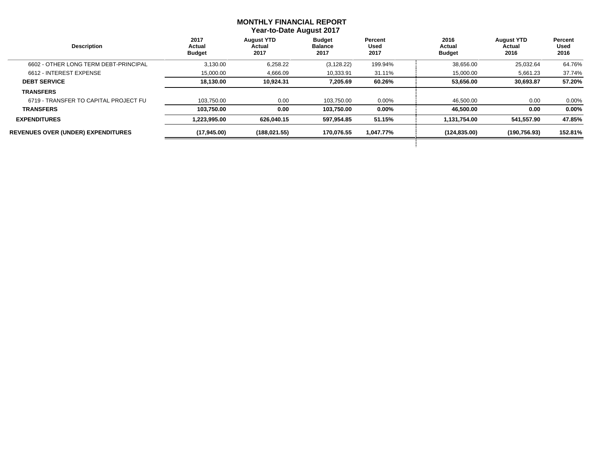#### **MONTHLY FINANCIAL REPORT Year-to-Date August 2017**

 $\overline{\phantom{a}}$ 

| <b>Description</b>                        | 2017<br>Actual<br><b>Budget</b> | <b>August YTD</b><br>Actual<br>2017 | <b>Budget</b><br><b>Balance</b><br>2017 | Percent<br>Used<br>2017 | 2016<br>Actual<br><b>Budget</b> | <b>August YTD</b><br>Actual<br>2016 | Percent<br>Used<br>2016 |
|-------------------------------------------|---------------------------------|-------------------------------------|-----------------------------------------|-------------------------|---------------------------------|-------------------------------------|-------------------------|
| 6602 - OTHER LONG TERM DEBT-PRINCIPAL     | 3,130.00                        | 6,258.22                            | (3, 128.22)                             | 199.94%                 | 38,656.00                       | 25,032.64                           | 64.76%                  |
| 6612 - INTEREST EXPENSE                   | 15,000.00                       | 4,666.09                            | 10,333.91                               | 31.11%                  | 15,000.00                       | 5,661.23                            | 37.74%                  |
| <b>DEBT SERVICE</b>                       | 18.130.00                       | 10,924.31                           | 7,205.69                                | 60.26%                  | 53,656.00                       | 30.693.87                           | 57.20%                  |
| <b>TRANSFERS</b>                          |                                 |                                     |                                         |                         |                                 |                                     |                         |
| 6719 - TRANSFER TO CAPITAL PROJECT FU     | 103.750.00                      | 0.00                                | 103.750.00                              | $0.00\%$                | 46,500.00                       | 0.00                                | $0.00\%$                |
| <b>TRANSFERS</b>                          | 103,750.00                      | 0.00                                | 103.750.00                              | $0.00\%$                | 46,500.00                       | 0.00                                | $0.00\%$                |
| <b>EXPENDITURES</b>                       | 1,223,995.00                    | 626.040.15                          | 597.954.85                              | 51.15%                  | 1,131,754.00                    | 541.557.90                          | 47.85%                  |
| <b>REVENUES OVER (UNDER) EXPENDITURES</b> | (17,945.00)                     | (188, 021.55)                       | 170,076.55                              | 1,047.77%               | (124, 835.00)                   | (190, 756.93)                       | 152.81%                 |
|                                           |                                 |                                     |                                         |                         |                                 |                                     |                         |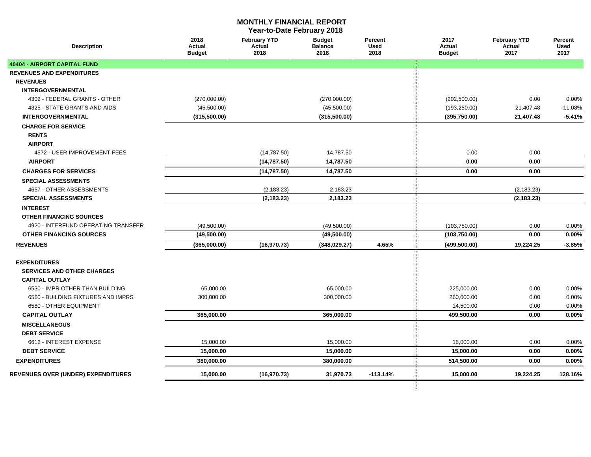#### **MONTHLY FINANCIAL REPORT**

**Year-to-Date February 2018**

| <b>Description</b>                  | 2018<br>Actual<br><b>Budget</b> | <b>February YTD</b><br>Actual<br>2018 | <b>Budget</b><br><b>Balance</b><br>2018 | Percent<br><b>Used</b><br>2018 | 2017<br>Actual<br><b>Budget</b> | <b>February YTD</b><br>Actual<br>2017 | Percent<br><b>Used</b><br>2017 |
|-------------------------------------|---------------------------------|---------------------------------------|-----------------------------------------|--------------------------------|---------------------------------|---------------------------------------|--------------------------------|
| 40404 - AIRPORT CAPITAL FUND        |                                 |                                       |                                         |                                |                                 |                                       |                                |
| <b>REVENUES AND EXPENDITURES</b>    |                                 |                                       |                                         |                                |                                 |                                       |                                |
| <b>REVENUES</b>                     |                                 |                                       |                                         |                                |                                 |                                       |                                |
| <b>INTERGOVERNMENTAL</b>            |                                 |                                       |                                         |                                |                                 |                                       |                                |
| 4302 - FEDERAL GRANTS - OTHER       | (270,000.00)                    |                                       | (270,000.00)                            |                                | (202, 500.00)                   | 0.00                                  | 0.00%                          |
| 4325 - STATE GRANTS AND AIDS        | (45,500.00)                     |                                       | (45,500.00)                             |                                | (193, 250.00)                   | 21,407.48                             | $-11.08%$                      |
| <b>INTERGOVERNMENTAL</b>            | (315,500.00)                    |                                       | (315, 500.00)                           |                                | (395,750.00)                    | 21,407.48                             | $-5.41%$                       |
| <b>CHARGE FOR SERVICE</b>           |                                 |                                       |                                         |                                |                                 |                                       |                                |
| <b>RENTS</b>                        |                                 |                                       |                                         |                                |                                 |                                       |                                |
| <b>AIRPORT</b>                      |                                 |                                       |                                         |                                |                                 |                                       |                                |
| 4572 - USER IMPROVEMENT FEES        |                                 | (14, 787.50)                          | 14,787.50                               |                                | 0.00                            | 0.00                                  |                                |
| <b>AIRPORT</b>                      |                                 | (14, 787.50)                          | 14,787.50                               |                                | 0.00                            | 0.00                                  |                                |
| <b>CHARGES FOR SERVICES</b>         |                                 | (14, 787.50)                          | 14,787.50                               |                                | 0.00                            | 0.00                                  |                                |
| SPECIAL ASSESSMENTS                 |                                 |                                       |                                         |                                |                                 |                                       |                                |
| 4657 - OTHER ASSESSMENTS            |                                 | (2, 183.23)                           | 2,183.23                                |                                |                                 | (2, 183.23)                           |                                |
| <b>SPECIAL ASSESSMENTS</b>          |                                 | (2, 183.23)                           | 2,183.23                                |                                |                                 | (2, 183.23)                           |                                |
| <b>INTEREST</b>                     |                                 |                                       |                                         |                                |                                 |                                       |                                |
| <b>OTHER FINANCING SOURCES</b>      |                                 |                                       |                                         |                                |                                 |                                       |                                |
| 4920 - INTERFUND OPERATING TRANSFER | (49,500.00)                     |                                       | (49,500.00)                             |                                | (103,750.00)                    | 0.00                                  | 0.00%                          |
| <b>OTHER FINANCING SOURCES</b>      | (49,500.00)                     |                                       | (49,500.00)                             |                                | (103,750.00)                    | 0.00                                  | 0.00%                          |
| <b>REVENUES</b>                     | (365,000.00)                    | (16, 970.73)                          | (348, 029.27)                           | 4.65%                          | (499, 500.00)                   | 19,224.25                             | $-3.85%$                       |
|                                     |                                 |                                       |                                         |                                |                                 |                                       |                                |
| <b>EXPENDITURES</b>                 |                                 |                                       |                                         |                                |                                 |                                       |                                |
| <b>SERVICES AND OTHER CHARGES</b>   |                                 |                                       |                                         |                                |                                 |                                       |                                |
| <b>CAPITAL OUTLAY</b>               |                                 |                                       |                                         |                                |                                 |                                       |                                |
| 6530 - IMPR OTHER THAN BUILDING     | 65,000.00                       |                                       | 65,000.00                               |                                | 225,000.00                      | 0.00                                  | 0.00%                          |
| 6560 - BUILDING FIXTURES AND IMPRS  | 300,000.00                      |                                       | 300,000.00                              |                                | 260,000.00                      | 0.00                                  | 0.00%                          |
| 6580 - OTHER EQUIPMENT              |                                 |                                       |                                         |                                | 14,500.00                       | 0.00                                  | 0.00%                          |
| <b>CAPITAL OUTLAY</b>               | 365,000.00                      |                                       | 365,000.00                              |                                | 499,500.00                      | 0.00                                  | 0.00%                          |
| <b>MISCELLANEOUS</b>                |                                 |                                       |                                         |                                |                                 |                                       |                                |
| <b>DEBT SERVICE</b>                 |                                 |                                       |                                         |                                |                                 |                                       |                                |
| 6612 - INTEREST EXPENSE             | 15,000.00                       |                                       | 15,000.00                               |                                | 15,000.00                       | 0.00                                  | 0.00%                          |
| <b>DEBT SERVICE</b>                 | 15,000.00                       |                                       | 15,000.00                               |                                | 15,000.00                       | 0.00                                  | 0.00%                          |
| <b>EXPENDITURES</b>                 | 380,000.00                      |                                       | 380.000.00                              |                                | 514,500.00                      | 0.00                                  | 0.00%                          |
| REVENUES OVER (UNDER) EXPENDITURES  | 15,000.00                       | (16, 970.73)                          | 31,970.73                               | $-113.14%$                     | 15,000.00                       | 19,224.25                             | 128.16%                        |
|                                     |                                 |                                       |                                         |                                |                                 |                                       |                                |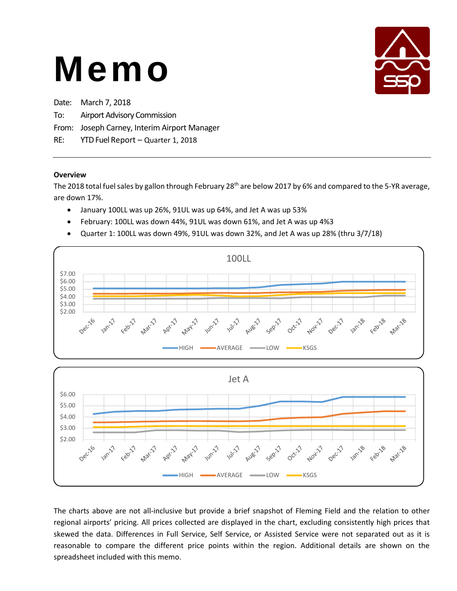

| Date: March 7, 2018                          |
|----------------------------------------------|
| To: Airport Advisory Commission              |
| From: Joseph Carney, Interim Airport Manager |
| RE: YTD Fuel Report - Quarter 1, 2018        |

#### **Overview**

The 2018 total fuel sales by gallon through February 28<sup>th</sup> are below 2017 by 6% and compared to the 5-YR average, are down 17%.

- January 100LL was up 26%, 91UL was up 64%, and Jet A was up 53%
- February: 100LL was down 44%, 91UL was down 61%, and Jet A was up 4%3
- Quarter 1: 100LL was down 49%, 91UL was down 32%, and Jet A was up 28% (thru 3/7/18)



The charts above are not all-inclusive but provide a brief snapshot of Fleming Field and the relation to other regional airports' pricing. All prices collected are displayed in the chart, excluding consistently high prices that skewed the data. Differences in Full Service, Self Service, or Assisted Service were not separated out as it is reasonable to compare the different price points within the region. Additional details are shown on the spreadsheet included with this memo.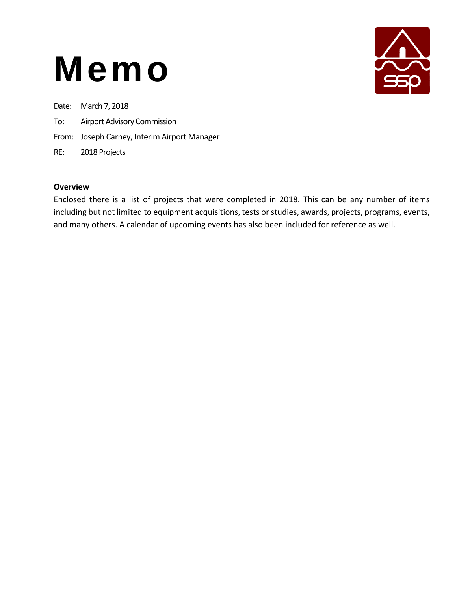

Date: March 7, 2018

- To: Airport Advisory Commission
- From: Joseph Carney, Interim Airport Manager

RE: 2018 Projects

#### **Overview**

Enclosed there is a list of projects that were completed in 2018. This can be any number of items including but not limited to equipment acquisitions, tests or studies, awards, projects, programs, events, and many others. A calendar of upcoming events has also been included for reference as well.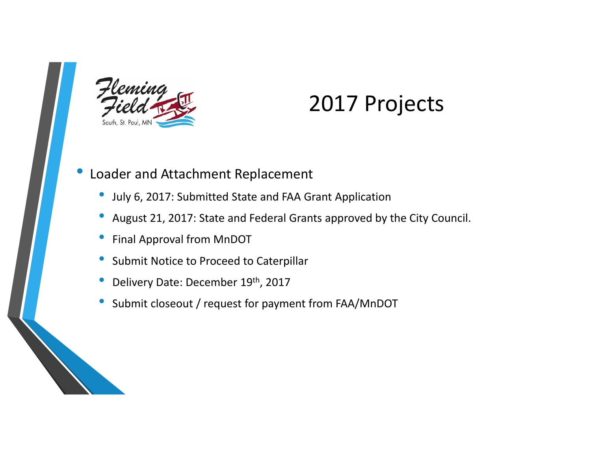

### 2017 Projects

#### •Loader and Attachment Replacement

- •July 6, 2017: Submitted State and FAA Grant Application
- •August 21, 2017: State and Federal Grants approved by the City Council.
- •Final Approval from MnDOT
- •Submit Notice to Proceed to Caterpillar
- •Delivery Date: December 19th, 2017
- •Submit closeout / request for payment from FAA/MnDOT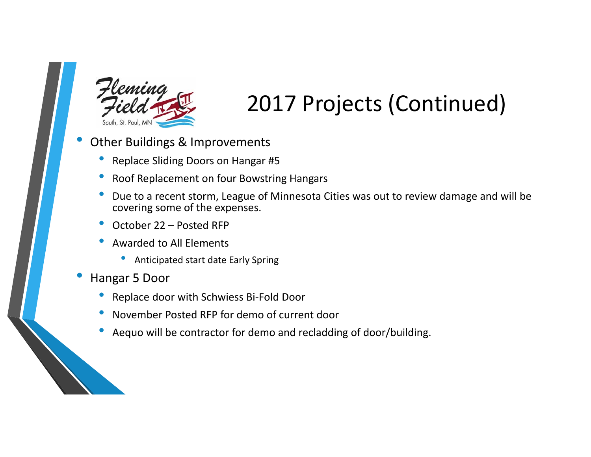

### 2017 Projects (Continued)

- • Other Buildings & Improvements
	- •Replace Sliding Doors on Hangar #5
	- •Roof Replacement on four Bowstring Hangars
	- • Due to a recent storm, League of Minnesota Cities was out to review damage and will be covering some of the expenses.
	- •October 22 – Posted RFP
	- • Awarded to All Elements
		- •Anticipated start date Early Spring
- • Hangar 5 Door
	- •Replace door with Schwiess Bi‐Fold Door
	- •November Posted RFP for demo of current door
	- •Aequo will be contractor for demo and recladding of door/building.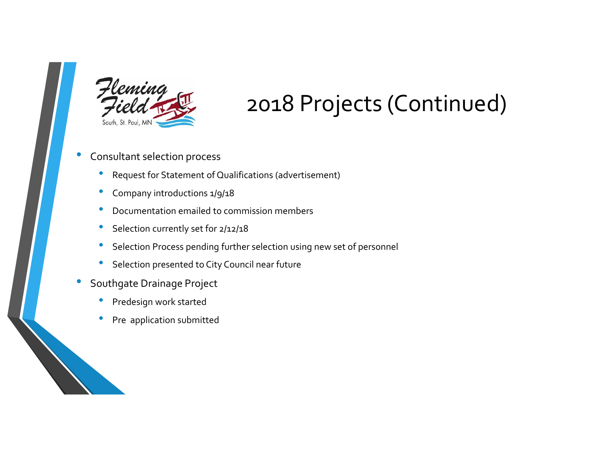

### 2018 Projects (Continued)

#### •Consultant selection process

- •Request for Statement of Qualifications (advertisement)
- •Company introductions 1/9/18
- •Documentation emailed to commission members
- •**Selection currently set for 2/12/18**
- •**•** Selection Process pending further selection using new set of personnel
- $\bullet$ **Selection presented to City Council near future**
- • Southgate Drainage Project
	- •Predesign work started
	- •• Pre application submitted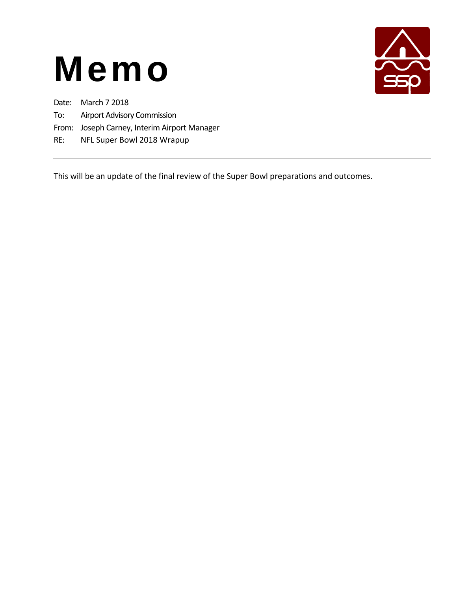

Date: March 7 2018

- To: Airport Advisory Commission
- From: Joseph Carney, Interim Airport Manager
- RE: NFL Super Bowl 2018 Wrapup

This will be an update of the final review of the Super Bowl preparations and outcomes.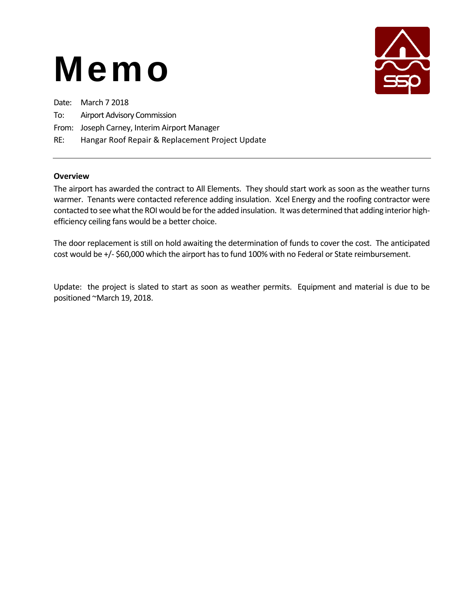

| Date: March 7 2018                           |
|----------------------------------------------|
| To: Airport Advisory Commission              |
| From: Joseph Carney, Interim Airport Manager |

#### RE: Hangar Roof Repair & Replacement Project Update

#### **Overview**

The airport has awarded the contract to All Elements. They should start work as soon as the weather turns warmer. Tenants were contacted reference adding insulation. Xcel Energy and the roofing contractor were contacted to see what the ROI would be for the added insulation. It was determined that adding interior high‐ efficiency ceiling fans would be a better choice.

The door replacement is still on hold awaiting the determination of funds to cover the cost. The anticipated cost would be +/‐ \$60,000 which the airport has to fund 100% with no Federal or State reimbursement.

Update: the project is slated to start as soon as weather permits. Equipment and material is due to be positioned ~March 19, 2018.